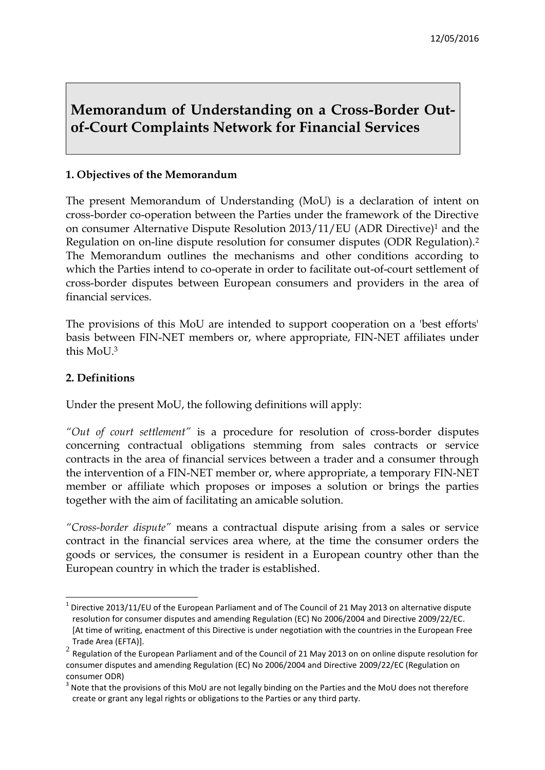# **Memorandum of Understanding on a Cross-Border Outof-Court Complaints Network for Financial Services**

## **1. Objectives of the Memorandum**

The present Memorandum of Understanding (MoU) is a declaration of intent on cross-border co-operation between the Parties under the framework of the Directive on consumer Alternative Dispute Resolution 2013/11/EU (ADR Directive)<sup>1</sup> and the Regulation on on-line dispute resolution for consumer disputes (ODR Regulation).<sup>2</sup> The Memorandum outlines the mechanisms and other conditions according to which the Parties intend to co-operate in order to facilitate out-of-court settlement of cross-border disputes between European consumers and providers in the area of financial services.

The provisions of this MoU are intended to support cooperation on a 'best efforts' basis between FIN-NET members or, where appropriate, FIN-NET affiliates under this MoU.<sup>3</sup>

#### **2. Definitions**

**.** 

Under the present MoU, the following definitions will apply:

*"Out of court settlement"* is a procedure for resolution of cross-border disputes concerning contractual obligations stemming from sales contracts or service contracts in the area of financial services between a trader and a consumer through the intervention of a FIN-NET member or, where appropriate, a temporary FIN-NET member or affiliate which proposes or imposes a solution or brings the parties together with the aim of facilitating an amicable solution.

*"Cross-border dispute"* means a contractual dispute arising from a sales or service contract in the financial services area where, at the time the consumer orders the goods or services, the consumer is resident in a European country other than the European country in which the trader is established.

<sup>1</sup> Directive 2013/11/EU of the European Parliament and of The Council of 21 May 2013 on alternative dispute resolution for consumer disputes and amending Regulation (EC) No 2006/2004 and Directive 2009/22/EC. [At time of writing, enactment of this Directive is under negotiation with the countries in the European Free Trade Area (EFTA)].

 $^2$  Regulation of the European Parliament and of the Council of 21 May 2013 on on online dispute resolution for consumer disputes and amending Regulation (EC) No 2006/2004 and Directive 2009/22/EC (Regulation on consumer ODR)

 $3$  Note that the provisions of this MoU are not legally binding on the Parties and the MoU does not therefore create or grant any legal rights or obligations to the Parties or any third party.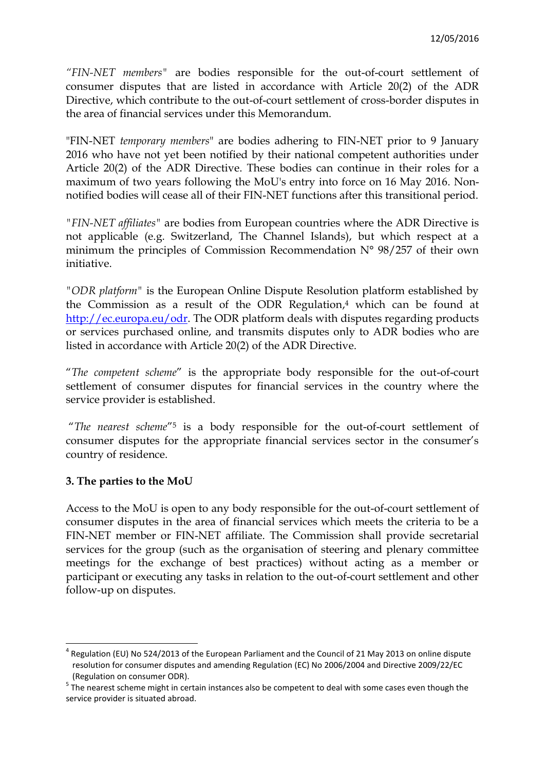*"FIN-NET members"* are bodies responsible for the out-of-court settlement of consumer disputes that are listed in accordance with Article 20(2) of the ADR Directive, which contribute to the out-of-court settlement of cross-border disputes in the area of financial services under this Memorandum.

"FIN-NET *temporary members*" are bodies adhering to FIN-NET prior to 9 January 2016 who have not yet been notified by their national competent authorities under Article 20(2) of the ADR Directive. These bodies can continue in their roles for a maximum of two years following the MoU's entry into force on 16 May 2016. Nonnotified bodies will cease all of their FIN-NET functions after this transitional period.

*"FIN-NET affiliates"* are bodies from European countries where the ADR Directive is not applicable (e.g. Switzerland, The Channel Islands), but which respect at a minimum the principles of Commission Recommendation N° 98/257 of their own initiative.

*"ODR platform"* is the European Online Dispute Resolution platform established by the Commission as a result of the ODR Regulation, <sup>4</sup> which can be found at [http://ec.europa.eu/odr.](http://ec.europa.eu/odr) The ODR platform deals with disputes regarding products or services purchased online, and transmits disputes only to ADR bodies who are listed in accordance with Article 20(2) of the ADR Directive.

"*The competent scheme*" is the appropriate body responsible for the out-of-court settlement of consumer disputes for financial services in the country where the service provider is established.

"*The nearest scheme*"<sup>5</sup> is a body responsible for the out-of-court settlement of consumer disputes for the appropriate financial services sector in the consumer's country of residence.

# **3. The parties to the MoU**

 $\overline{a}$ 

Access to the MoU is open to any body responsible for the out-of-court settlement of consumer disputes in the area of financial services which meets the criteria to be a FIN-NET member or FIN-NET affiliate. The Commission shall provide secretarial services for the group (such as the organisation of steering and plenary committee meetings for the exchange of best practices) without acting as a member or participant or executing any tasks in relation to the out-of-court settlement and other follow-up on disputes.

 $<sup>4</sup>$  Regulation (EU) No 524/2013 of the European Parliament and the Council of 21 May 2013 on online dispute</sup> resolution for consumer disputes and amending Regulation (EC) No 2006/2004 and Directive 2009/22/EC (Regulation on consumer ODR).

<sup>&</sup>lt;sup>5</sup> The nearest scheme might in certain instances also be competent to deal with some cases even though the service provider is situated abroad.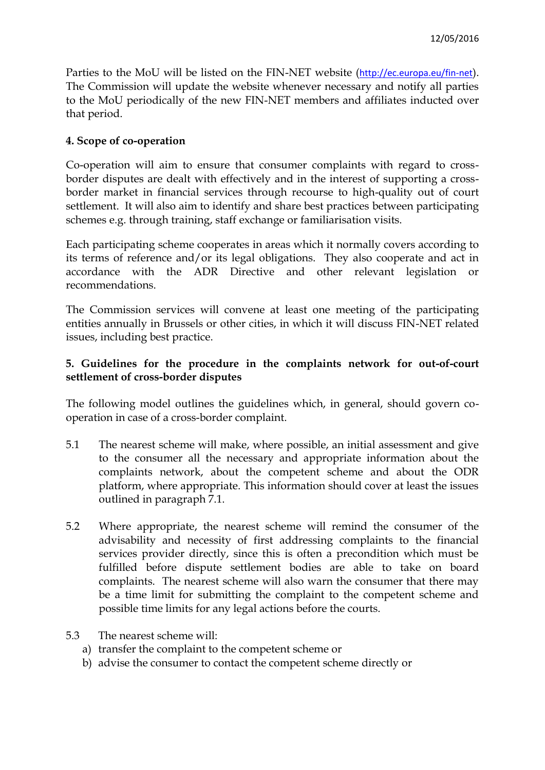Parties to the MoU will be listed on the FIN-NET website (<http://ec.europa.eu/fin-net>). The Commission will update the website whenever necessary and notify all parties to the MoU periodically of the new FIN-NET members and affiliates inducted over that period.

#### **4. Scope of co-operation**

Co-operation will aim to ensure that consumer complaints with regard to crossborder disputes are dealt with effectively and in the interest of supporting a crossborder market in financial services through recourse to high-quality out of court settlement. It will also aim to identify and share best practices between participating schemes e.g. through training, staff exchange or familiarisation visits.

Each participating scheme cooperates in areas which it normally covers according to its terms of reference and/or its legal obligations. They also cooperate and act in accordance with the ADR Directive and other relevant legislation or recommendations.

The Commission services will convene at least one meeting of the participating entities annually in Brussels or other cities, in which it will discuss FIN-NET related issues, including best practice.

## **5. Guidelines for the procedure in the complaints network for out-of-court settlement of cross-border disputes**

The following model outlines the guidelines which, in general, should govern cooperation in case of a cross-border complaint.

- 5.1 The nearest scheme will make, where possible, an initial assessment and give to the consumer all the necessary and appropriate information about the complaints network, about the competent scheme and about the ODR platform, where appropriate. This information should cover at least the issues outlined in paragraph 7.1.
- 5.2 Where appropriate, the nearest scheme will remind the consumer of the advisability and necessity of first addressing complaints to the financial services provider directly, since this is often a precondition which must be fulfilled before dispute settlement bodies are able to take on board complaints. The nearest scheme will also warn the consumer that there may be a time limit for submitting the complaint to the competent scheme and possible time limits for any legal actions before the courts.
- 5.3 The nearest scheme will:
	- a) transfer the complaint to the competent scheme or
	- b) advise the consumer to contact the competent scheme directly or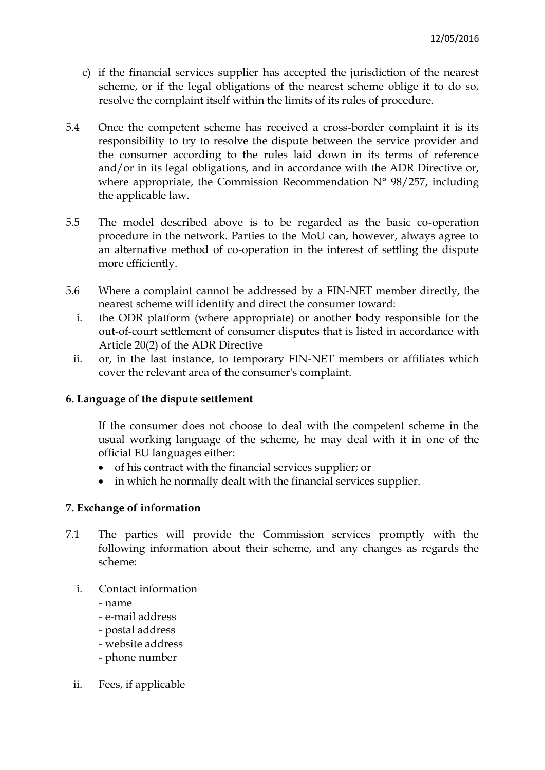- c) if the financial services supplier has accepted the jurisdiction of the nearest scheme, or if the legal obligations of the nearest scheme oblige it to do so, resolve the complaint itself within the limits of its rules of procedure.
- 5.4 Once the competent scheme has received a cross-border complaint it is its responsibility to try to resolve the dispute between the service provider and the consumer according to the rules laid down in its terms of reference and/or in its legal obligations, and in accordance with the ADR Directive or, where appropriate, the Commission Recommendation  $N^{\circ}$  98/257, including the applicable law.
- 5.5 The model described above is to be regarded as the basic co-operation procedure in the network. Parties to the MoU can, however, always agree to an alternative method of co-operation in the interest of settling the dispute more efficiently.
- 5.6 Where a complaint cannot be addressed by a FIN-NET member directly, the nearest scheme will identify and direct the consumer toward:
	- i. the ODR platform (where appropriate) or another body responsible for the out-of-court settlement of consumer disputes that is listed in accordance with Article 20(2) of the ADR Directive
	- ii. or, in the last instance, to temporary FIN-NET members or affiliates which cover the relevant area of the consumer's complaint.

#### **6. Language of the dispute settlement**

If the consumer does not choose to deal with the competent scheme in the usual working language of the scheme, he may deal with it in one of the official EU languages either:

- of his contract with the financial services supplier; or
- in which he normally dealt with the financial services supplier.

# **7. Exchange of information**

- 7.1 The parties will provide the Commission services promptly with the following information about their scheme, and any changes as regards the scheme:
	- i. Contact information
		- name
		- e-mail address
		- postal address
		- website address
		- phone number
	- ii. Fees, if applicable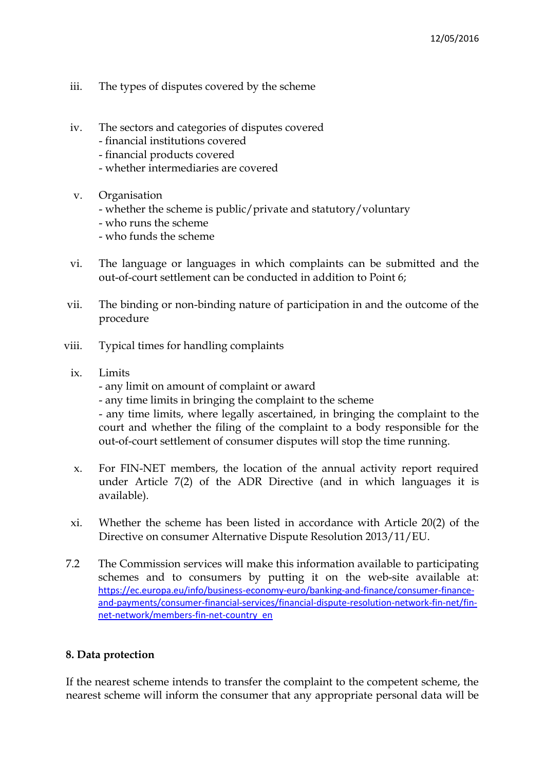- iii. The types of disputes covered by the scheme
- iv. The sectors and categories of disputes covered
	- financial institutions covered
	- financial products covered
	- whether intermediaries are covered
- v. Organisation
	- whether the scheme is public/private and statutory/voluntary
	- who runs the scheme
	- who funds the scheme
- vi. The language or languages in which complaints can be submitted and the out-of-court settlement can be conducted in addition to Point 6;
- vii. The binding or non-binding nature of participation in and the outcome of the procedure
- viii. Typical times for handling complaints
	- ix. Limits
		- any limit on amount of complaint or award
		- any time limits in bringing the complaint to the scheme

- any time limits, where legally ascertained, in bringing the complaint to the court and whether the filing of the complaint to a body responsible for the out-of-court settlement of consumer disputes will stop the time running.

- x. For FIN-NET members, the location of the annual activity report required under Article 7(2) of the ADR Directive (and in which languages it is available).
- xi. Whether the scheme has been listed in accordance with Article 20(2) of the Directive on consumer Alternative Dispute Resolution 2013/11/EU.
- 7.2 The Commission services will make this information available to participating schemes and to consumers by putting it on the web-site available at: [https://ec.europa.eu/info/business-economy-euro/banking-and-finance/consumer-finance](https://ec.europa.eu/info/business-economy-euro/banking-and-finance/consumer-finance-and-payments/consumer-financial-services/financial-dispute-resolution-network-fin-net/fin-net-network/members-fin-net-country_en)[and-payments/consumer-financial-services/financial-dispute-resolution-network-fin-net/fin](https://ec.europa.eu/info/business-economy-euro/banking-and-finance/consumer-finance-and-payments/consumer-financial-services/financial-dispute-resolution-network-fin-net/fin-net-network/members-fin-net-country_en)[net-network/members-fin-net-country\\_en](https://ec.europa.eu/info/business-economy-euro/banking-and-finance/consumer-finance-and-payments/consumer-financial-services/financial-dispute-resolution-network-fin-net/fin-net-network/members-fin-net-country_en)

# **8. Data protection**

If the nearest scheme intends to transfer the complaint to the competent scheme, the nearest scheme will inform the consumer that any appropriate personal data will be